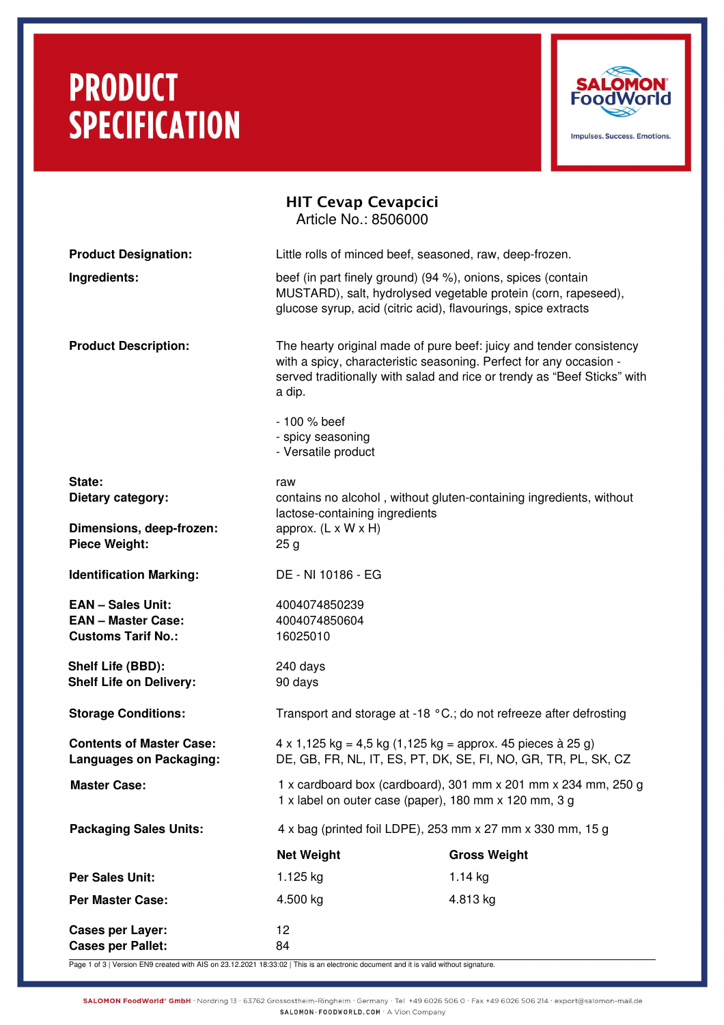## **PRODUCT SPECIFICATION**



|                                                                                    | <b>HIT Cevap Cevapcici</b><br>Article No.: 8506000                                                                                                                                               |                                                                                                                                                                                                                       |  |
|------------------------------------------------------------------------------------|--------------------------------------------------------------------------------------------------------------------------------------------------------------------------------------------------|-----------------------------------------------------------------------------------------------------------------------------------------------------------------------------------------------------------------------|--|
| <b>Product Designation:</b>                                                        | Little rolls of minced beef, seasoned, raw, deep-frozen.                                                                                                                                         |                                                                                                                                                                                                                       |  |
| Ingredients:                                                                       | beef (in part finely ground) (94 %), onions, spices (contain<br>MUSTARD), salt, hydrolysed vegetable protein (corn, rapeseed),<br>glucose syrup, acid (citric acid), flavourings, spice extracts |                                                                                                                                                                                                                       |  |
| <b>Product Description:</b>                                                        | a dip.                                                                                                                                                                                           | The hearty original made of pure beef: juicy and tender consistency<br>with a spicy, characteristic seasoning. Perfect for any occasion -<br>served traditionally with salad and rice or trendy as "Beef Sticks" with |  |
|                                                                                    | - 100 % beef<br>- spicy seasoning<br>- Versatile product                                                                                                                                         |                                                                                                                                                                                                                       |  |
| State:<br>Dietary category:                                                        | raw<br>contains no alcohol, without gluten-containing ingredients, without<br>lactose-containing ingredients                                                                                     |                                                                                                                                                                                                                       |  |
| Dimensions, deep-frozen:<br><b>Piece Weight:</b>                                   | approx. $(L \times W \times H)$<br>25 <sub>g</sub>                                                                                                                                               |                                                                                                                                                                                                                       |  |
| <b>Identification Marking:</b>                                                     | DE - NI 10186 - EG                                                                                                                                                                               |                                                                                                                                                                                                                       |  |
| <b>EAN - Sales Unit:</b><br><b>EAN - Master Case:</b><br><b>Customs Tarif No.:</b> | 4004074850239<br>4004074850604<br>16025010                                                                                                                                                       |                                                                                                                                                                                                                       |  |
| Shelf Life (BBD):<br><b>Shelf Life on Delivery:</b>                                | 240 days<br>90 days                                                                                                                                                                              |                                                                                                                                                                                                                       |  |
| <b>Storage Conditions:</b>                                                         | Transport and storage at -18 °C.; do not refreeze after defrosting                                                                                                                               |                                                                                                                                                                                                                       |  |
| <b>Contents of Master Case:</b><br><b>Languages on Packaging:</b>                  | $4 \times 1,125$ kg = 4,5 kg (1,125 kg = approx. 45 pieces à 25 g)<br>DE, GB, FR, NL, IT, ES, PT, DK, SE, FI, NO, GR, TR, PL, SK, CZ                                                             |                                                                                                                                                                                                                       |  |
| <b>Master Case:</b>                                                                | 1 x cardboard box (cardboard), 301 mm x 201 mm x 234 mm, 250 g<br>1 x label on outer case (paper), 180 mm x 120 mm, 3 g                                                                          |                                                                                                                                                                                                                       |  |
| <b>Packaging Sales Units:</b>                                                      | 4 x bag (printed foil LDPE), 253 mm x 27 mm x 330 mm, 15 g                                                                                                                                       |                                                                                                                                                                                                                       |  |
|                                                                                    | <b>Net Weight</b>                                                                                                                                                                                | <b>Gross Weight</b>                                                                                                                                                                                                   |  |
| <b>Per Sales Unit:</b>                                                             | 1.125 kg                                                                                                                                                                                         | $1.14$ kg                                                                                                                                                                                                             |  |
| <b>Per Master Case:</b>                                                            | 4.500 kg                                                                                                                                                                                         | 4.813 kg                                                                                                                                                                                                              |  |
| <b>Cases per Layer:</b><br><b>Cases per Pallet:</b>                                | 12<br>84                                                                                                                                                                                         |                                                                                                                                                                                                                       |  |

Page 1 of 3 | Version EN9 created with AIS on 23.12.2021 18:33:02 | This is an electronic document and it is valid without signature.

SALOMON FoodWorld® GmbH · Nordring 13 · 63762 Grossostheim-Ringheim · Germany · Tel +49 6026 506 0 · Fax +49 6026 506 214 · export@salomon-mail.de SALOMON-FOODWORLD.COM . A Vion Company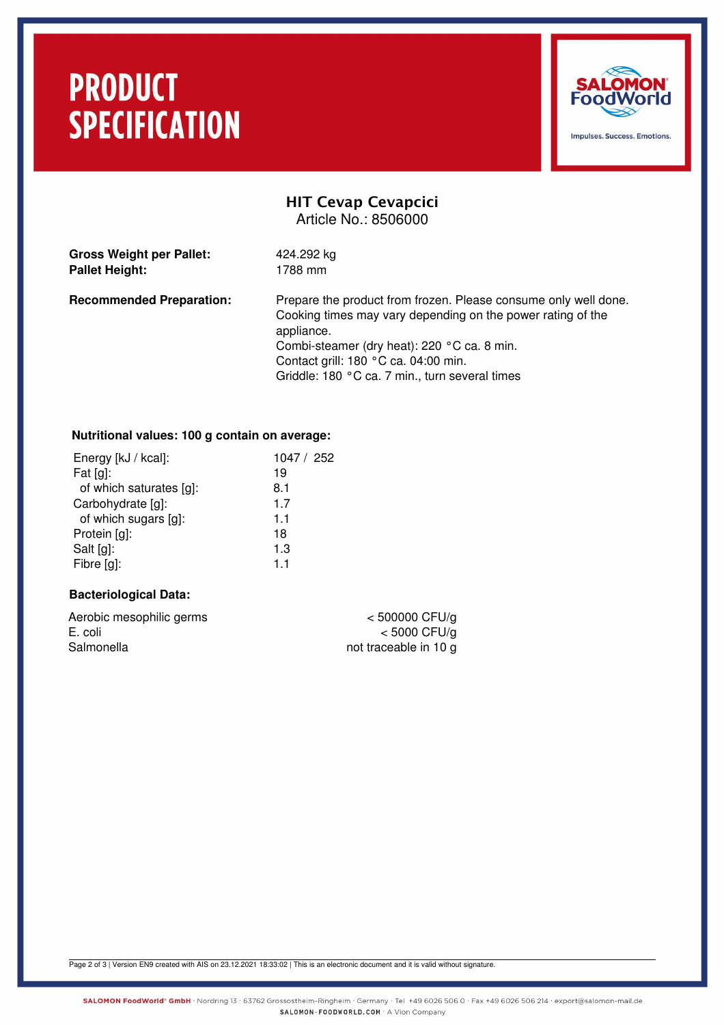## **PRODUCT SPECIFICATION**



### HIT Cevap Cevapcici Article No.: 8506000

| <b>Gross Weight per Pallet:</b> | 424.292 kg |
|---------------------------------|------------|
| <b>Pallet Height:</b>           | 1788 mm    |

**Recommended Preparation:** Prepare the product from frozen. Please consume only well done. Cooking times may vary depending on the power rating of the appliance. Combi-steamer (dry heat): 220 °C ca. 8 min. Contact grill: 180 °C ca. 04:00 min. Griddle: 180 °C ca. 7 min., turn several times

### **Nutritional values: 100 g contain on average:**

| Energy [kJ / kcal]:     | 1047 / 252 |
|-------------------------|------------|
| Fat $[g]$ :             | 19         |
| of which saturates [g]: | 8.1        |
| Carbohydrate [g]:       | 1.7        |
| of which sugars [g]:    | 1.1        |
| Protein [g]:            | 18         |
| Salt [g]:               | 1.3        |
| Fibre [g]:              | 1.1        |
|                         |            |

#### **Bacteriological Data:**

| Aerobic mesophilic germs |  |
|--------------------------|--|
| E. coli                  |  |
| Salmonella               |  |

 $<$  500000 CFU/g  $<$  5000 CFU/g not traceable in 10 g

Page 2 of 3 | Version EN9 created with AIS on 23.12.2021 18:33:02 | This is an electronic document and it is valid without signature.